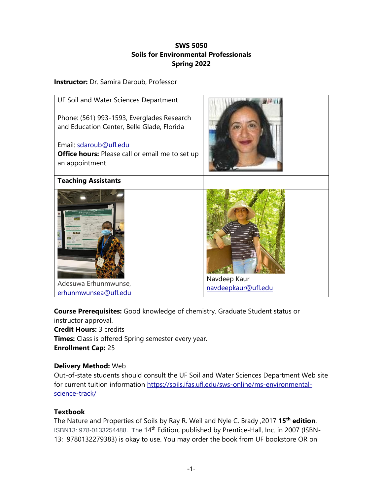# **SWS 5050 Soils for Environmental Professionals Spring 2022**

## **Instructor:** Dr. Samira Daroub, Professor



**Course Prerequisites:** Good knowledge of chemistry. Graduate Student status or

instructor approval. **Credit Hours:** 3 credits **Times:** Class is offered Spring semester every year. **Enrollment Cap:** 25

## **Delivery Method:** Web

Out-of-state students should consult the UF Soil and Water Sciences Department Web site for current tuition information [https://soils.ifas.ufl.edu/sws-online/ms-environmental](https://soils.ifas.ufl.edu/sws-online/ms-environmental-science-track/)[science-track/](https://soils.ifas.ufl.edu/sws-online/ms-environmental-science-track/)

# **Textbook**

The Nature and Properties of Soils by Ray R. Weil and Nyle C. Brady ,2017 **15th edition**. ISBN13: 978-0133254488. The 14<sup>th</sup> Edition, published by Prentice-Hall, Inc. in 2007 (ISBN-13: 9780132279383) is okay to use. You may order the book from UF bookstore OR on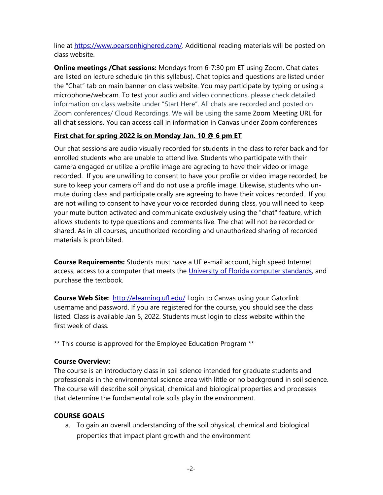line at [https://www.pearsonhighered.com/.](https://www.pearsonhighered.com/) Additional reading materials will be posted on class website.

**Online meetings /Chat sessions:** Mondays from 6-7:30 pm ET using Zoom. Chat dates are listed on lecture schedule (in this syllabus). Chat topics and questions are listed under the "Chat" tab on main banner on class website. You may participate by typing or using a microphone/webcam. To test your audio and video connections, please check detailed information on class website under "Start Here". All chats are recorded and posted on Zoom conferences/ Cloud Recordings. We will be using the same Zoom Meeting URL for all chat sessions. You can access call in information in Canvas under Zoom conferences

# **First chat for spring 2022 is on Monday Jan. 10 @ 6 pm ET**

Our chat sessions are audio visually recorded for students in the class to refer back and for enrolled students who are unable to attend live. Students who participate with their camera engaged or utilize a profile image are agreeing to have their video or image recorded. If you are unwilling to consent to have your profile or video image recorded, be sure to keep your camera off and do not use a profile image. Likewise, students who unmute during class and participate orally are agreeing to have their voices recorded. If you are not willing to consent to have your voice recorded during class, you will need to keep your mute button activated and communicate exclusively using the "chat" feature, which allows students to type questions and comments live. The chat will not be recorded or shared. As in all courses, unauthorized recording and unauthorized sharing of recorded materials is prohibited.

**Course Requirements:** Students must have a UF e-mail account, high speed Internet access, access to a computer that meets the [University of Florida computer standards,](http://www.circa.ufl.edu/computers) and purchase the textbook.

**Course Web Site:** <http://elearning.ufl.edu/> Login to Canvas using your Gatorlink username and password. If you are registered for the course, you should see the class listed. Class is available Jan 5, 2022. Students must login to class website within the first week of class.

\*\* This course is approved for the Employee Education Program \*\*

# **Course Overview:**

The course is an introductory class in soil science intended for graduate students and professionals in the environmental science area with little or no background in soil science. The course will describe soil physical, chemical and biological properties and processes that determine the fundamental role soils play in the environment.

# **COURSE GOALS**

a. To gain an overall understanding of the soil physical, chemical and biological properties that impact plant growth and the environment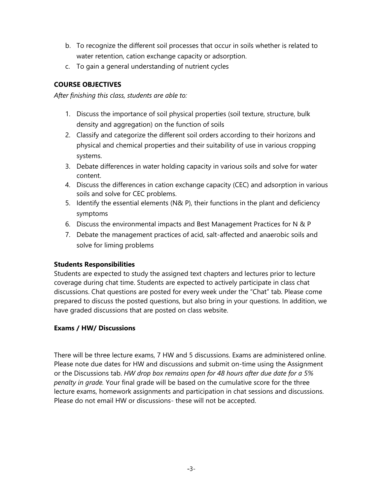- b. To recognize the different soil processes that occur in soils whether is related to water retention, cation exchange capacity or adsorption.
- c. To gain a general understanding of nutrient cycles

# **COURSE OBJECTIVES**

*After finishing this class, students are able to:*

- 1. Discuss the importance of soil physical properties (soil texture, structure, bulk density and aggregation) on the function of soils
- 2. Classify and categorize the different soil orders according to their horizons and physical and chemical properties and their suitability of use in various cropping systems.
- 3. Debate differences in water holding capacity in various soils and solve for water content.
- 4. Discuss the differences in cation exchange capacity (CEC) and adsorption in various soils and solve for CEC problems.
- 5. Identify the essential elements (N& P), their functions in the plant and deficiency symptoms
- 6. Discuss the environmental impacts and Best Management Practices for N & P
- 7. Debate the management practices of acid, salt-affected and anaerobic soils and solve for liming problems

# **Students Responsibilities**

Students are expected to study the assigned text chapters and lectures prior to lecture coverage during chat time. Students are expected to actively participate in class chat discussions. Chat questions are posted for every week under the "Chat" tab. Please come prepared to discuss the posted questions, but also bring in your questions. In addition, we have graded discussions that are posted on class website.

# **Exams / HW/ Discussions**

There will be three lecture exams, 7 HW and 5 discussions. Exams are administered online. Please note due dates for HW and discussions and submit on-time using the Assignment or the Discussions tab. *HW drop box remains open for 48 hours after due date for a 5% penalty in grade.* Your final grade will be based on the cumulative score for the three lecture exams, homework assignments and participation in chat sessions and discussions. Please do not email HW or discussions- these will not be accepted.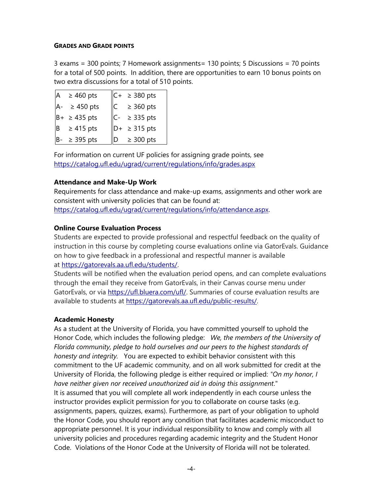#### **GRADES AND GRADE POINTS**

3 exams = 300 points; 7 Homework assignments= 130 points; 5 Discussions = 70 points for a total of 500 points. In addition, there are opportunities to earn 10 bonus points on two extra discussions for a total of 510 points.

| A | $\geq 460$ pts    |   | $ C+ $ ≥ 380 pts          |
|---|-------------------|---|---------------------------|
|   | $\geq 450$ pts    | C | $\geq 360$ pts            |
|   | $B+ \geq 435$ pts |   | $C- \geq 335$ pts         |
| B | $\geq 415$ pts    |   | $\vert$ D+ $\geq$ 315 pts |
|   | $\geq$ 395 pts    | D | $\geq 300$ pts            |

For information on current UF policies for assigning grade points, see <https://catalog.ufl.edu/ugrad/current/regulations/info/grades.aspx>

## **Attendance and Make-Up Work**

Requirements for class attendance and make-up exams, assignments and other work are consistent with university policies that can be found at: [https://catalog.ufl.edu/ugrad/current/regulations/info/attendance.aspx.](https://catalog.ufl.edu/ugrad/current/regulations/info/attendance.aspx)

## **Online Course Evaluation Process**

Students are expected to provide professional and respectful feedback on the quality of instruction in this course by completing course evaluations online via GatorEvals. Guidance on how to give feedback in a professional and respectful manner is available at [https://gatorevals.aa.ufl.edu/students/.](https://gatorevals.aa.ufl.edu/students/)

Students will be notified when the evaluation period opens, and can complete evaluations through the email they receive from GatorEvals, in their Canvas course menu under GatorEvals, or via [https://ufl.bluera.com/ufl/.](https://ufl.bluera.com/ufl/) Summaries of course evaluation results are available to students at [https://gatorevals.aa.ufl.edu/public-results/.](https://gatorevals.aa.ufl.edu/public-results/)

## **Academic Honesty**

As a student at the University of Florida, you have committed yourself to uphold the Honor Code, which includes the following pledge: *We, the members of the University of Florida community, pledge to hold ourselves and our peers to the highest standards of honesty and integrity.* You are expected to exhibit behavior consistent with this commitment to the UF academic community, and on all work submitted for credit at the University of Florida, the following pledge is either required or implied: *"On my honor, I have neither given nor received unauthorized aid in doing this assignment*." It is assumed that you will complete all work independently in each course unless the instructor provides explicit permission for you to collaborate on course tasks (e.g. assignments, papers, quizzes, exams). Furthermore, as part of your obligation to uphold the Honor Code, you should report any condition that facilitates academic misconduct to appropriate personnel. It is your individual responsibility to know and comply with all university policies and procedures regarding academic integrity and the Student Honor Code. Violations of the Honor Code at the University of Florida will not be tolerated.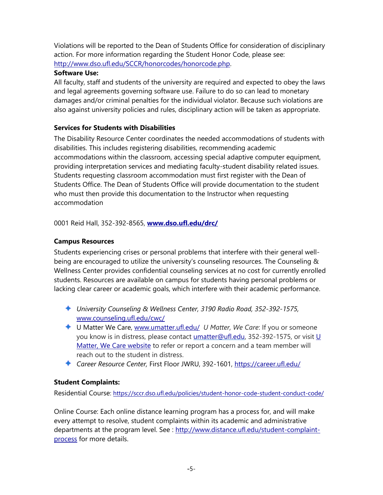Violations will be reported to the Dean of Students Office for consideration of disciplinary action. For more information regarding the Student Honor Code, please see: [http://www.dso.ufl.edu/SCCR/honorcodes/honorcode.php.](http://www.dso.ufl.edu/SCCR/honorcodes/honorcode.php)

## **Software Use:**

All faculty, staff and students of the university are required and expected to obey the laws and legal agreements governing software use. Failure to do so can lead to monetary damages and/or criminal penalties for the individual violator. Because such violations are also against university policies and rules, disciplinary action will be taken as appropriate.

# **Services for Students with Disabilities**

The Disability Resource Center coordinates the needed accommodations of students with disabilities. This includes registering disabilities, recommending academic accommodations within the classroom, accessing special adaptive computer equipment, providing interpretation services and mediating faculty-student disability related issues. Students requesting classroom accommodation must first register with the Dean of Students Office. The Dean of Students Office will provide documentation to the student who must then provide this documentation to the Instructor when requesting accommodation

0001 Reid Hall, 352-392-8565, **[www.dso.ufl.edu/drc/](http://www.dso.ufl.edu/drc/)**

# **Campus Resources**

Students experiencing crises or personal problems that interfere with their general wellbeing are encouraged to utilize the university's counseling resources. The Counseling & Wellness Center provides confidential counseling services at no cost for currently enrolled students. Resources are available on campus for students having personal problems or lacking clear career or academic goals, which interfere with their academic performance.

- *University Counseling & Wellness Center, 3190 Radio Road, 352-392-1575,* [www.counseling.ufl.edu/cwc/](http://www.counseling.ufl.edu/cwc/)
- ◆ U Matter We Care, [www.umatter.ufl.edu/](http://www.umatter.ufl.edu/) U Matter, We Care: If you or someone you know is in distress, please contact [umatter@ufl.edu, 3](mailto:umatter@ufl.edu)52-392-1575, or visit U [Matter, We Care website](https://umatter.ufl.edu/) to refer or report a concern and a team member will reach out to the student in distress.
- *Career Resource Center,* First Floor JWRU, 392-1601,<https://career.ufl.edu/>

## **Student Complaints:**

Residential Course:<https://sccr.dso.ufl.edu/policies/student-honor-code-student-conduct-code/>

Online Course: Each online distance learning program has a process for, and will make every attempt to resolve, student complaints within its academic and administrative departments at the program level. See : [http://www.distance.ufl.edu/student-complaint](http://www.distance.ufl.edu/student-complaint-process)[process](http://www.distance.ufl.edu/student-complaint-process) for more details.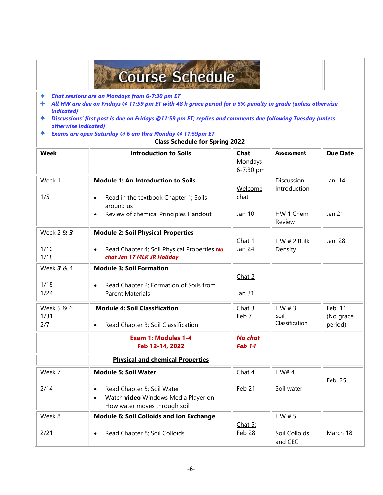# **Course Schedule**

- *Chat sessions are on Mondays from 6-7:30 pm ET*  $\ddotmark$
- *All HW are due on Fridays @ 11:59 pm ET with 48 h grace period for a 5% penalty in grade (unless otherwise*   $\ddot{\bullet}$ *indicated)*
- *Discussions' first post is due on Fridays @11:59 pm ET; replies and comments due following Tuesday (unless otherwise indicated)*
- *Exams are open Saturday @ 6 am thru Monday @ 11:59pm ET*

|  | <b>Class Schedule for Spring 2022</b> |  |  |  |
|--|---------------------------------------|--|--|--|
|--|---------------------------------------|--|--|--|

| <b>Week</b>  | <b>Introduction to Soils</b>                                                           | Chat<br>Mondays          | <b>Assessment</b>           | <b>Due Date</b> |
|--------------|----------------------------------------------------------------------------------------|--------------------------|-----------------------------|-----------------|
|              |                                                                                        | 6-7:30 pm                |                             |                 |
| Week 1       | <b>Module 1: An Introduction to Soils</b>                                              | Welcome                  | Discussion:<br>Introduction | Jan. 14         |
| 1/5          | Read in the textbook Chapter 1; Soils<br>$\bullet$<br>around us                        | chat                     |                             |                 |
|              | Review of chemical Principles Handout<br>$\bullet$                                     | <b>Jan 10</b>            | HW 1 Chem<br>Review         | Jan.21          |
| Week 2 & 3   | <b>Module 2: Soil Physical Properties</b>                                              |                          |                             |                 |
|              |                                                                                        | Chat 1                   | HW $# 2$ Bulk               | Jan. 28         |
| 1/10<br>1/18 | Read Chapter 4; Soil Physical Properties No<br>$\bullet$<br>chat Jan 17 MLK JR Holiday | <b>Jan 24</b>            | Density                     |                 |
| Week 3 & 4   | <b>Module 3: Soil Formation</b>                                                        |                          |                             |                 |
|              |                                                                                        | Chat 2                   |                             |                 |
| 1/18         | Read Chapter 2; Formation of Soils from<br>$\bullet$                                   |                          |                             |                 |
| 1/24         | <b>Parent Materials</b>                                                                | <b>Jan 31</b>            |                             |                 |
| Week 5 & 6   | <b>Module 4: Soil Classification</b>                                                   | Chat 3                   | HW $# 3$                    | Feb. 11         |
| 1/31         |                                                                                        | Feb 7                    | Soil                        | (No grace       |
| 2/7          | Read Chapter 3; Soil Classification<br>$\bullet$                                       |                          | Classification              | period)         |
|              | <b>Exam 1: Modules 1-4</b><br>Feb 12-14, 2022                                          | <b>No chat</b><br>Feb 14 |                             |                 |
|              | <b>Physical and chemical Properties</b>                                                |                          |                             |                 |
| Week 7       | <b>Module 5: Soil Water</b>                                                            | Chat 4                   | HW#4                        | Feb. 25         |
| 2/14         | Read Chapter 5; Soil Water<br>$\bullet$                                                | Feb 21                   | Soil water                  |                 |
|              | Watch video Windows Media Player on<br>$\bullet$<br>How water moves through soil       |                          |                             |                 |
| Week 8       | <b>Module 6: Soil Colloids and Ion Exchange</b>                                        |                          | HW $# 5$                    |                 |
|              |                                                                                        | Chat $5:$                |                             |                 |
| 2/21         | Read Chapter 8; Soil Colloids<br>$\bullet$                                             | Feb 28                   | Soil Colloids<br>and CEC    | March 18        |